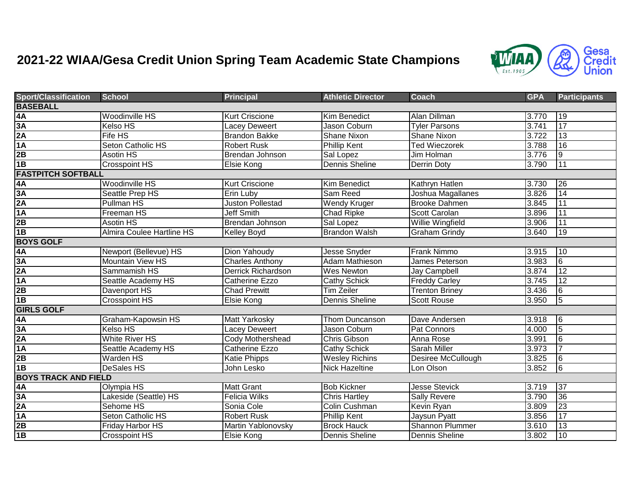## **2021-22 WIAA/Gesa Credit Union Spring Team Academic State Champions**



| <b>Sport/Classification</b>            | <b>School</b>                    | <b>Principal</b>          | <b>Athletic Director</b> | Coach                  | <b>GPA</b> | <b>Participants</b> |  |  |  |  |
|----------------------------------------|----------------------------------|---------------------------|--------------------------|------------------------|------------|---------------------|--|--|--|--|
| <b>BASEBALL</b>                        |                                  |                           |                          |                        |            |                     |  |  |  |  |
|                                        | Woodinville HS                   | Kurt Criscione            | <b>Kim Benedict</b>      | Alan Dillman           | 3.770      | 19                  |  |  |  |  |
|                                        | <b>Kelso HS</b>                  | Lacey Deweert             | Jason Coburn             | <b>Tyler Parsons</b>   | 3.741      | 17                  |  |  |  |  |
|                                        | Fife HS                          | <b>Brandon Bakke</b>      | <b>Shane Nixon</b>       | Shane Nixon            | 3.722      | 13                  |  |  |  |  |
| $\frac{4A}{3A}$ $\frac{3A}{2A}$ $1A$   | <b>Seton Catholic HS</b>         | Robert Rusk               | <b>Phillip Kent</b>      | <b>Ted Wieczorek</b>   | 3.788      | 16                  |  |  |  |  |
| 2B                                     | Asotin HS                        | Brendan Johnson           | Sal Lopez                | Jim Holman             | 3.776      | 9                   |  |  |  |  |
| 1B                                     | <b>Crosspoint HS</b>             | Elsie Kong                | <b>Dennis Sheline</b>    | Derrin Doty            | 3.790      | 11                  |  |  |  |  |
| <b>FASTPITCH SOFTBALL</b>              |                                  |                           |                          |                        |            |                     |  |  |  |  |
| 4A                                     | <b>Woodinville HS</b>            | <b>Kurt Criscione</b>     | <b>Kim Benedict</b>      | Kathryn Hatlen         | 3.730      | 26                  |  |  |  |  |
| 3A                                     | Seattle Prep HS                  | Erin Luby                 | Sam Reed                 | Joshua Magallanes      | 3.826      | 14                  |  |  |  |  |
| 2A                                     | <b>Pullman HS</b>                | <b>Juston Pollestad</b>   | <b>Wendy Kruger</b>      | <b>Brooke Dahmen</b>   | 3.845      | 11                  |  |  |  |  |
| 1A                                     | Freeman HS                       | <b>Jeff Smith</b>         | Chad Ripke               | Scott Carolan          | 3.896      | 11                  |  |  |  |  |
| 2B                                     | <b>Asotin HS</b>                 | Brendan Johnson           | Sal Lopez                | Willie Wingfield       | 3.906      | 11                  |  |  |  |  |
| 1B                                     | <b>Almira Coulee Hartline HS</b> | Kelley Boyd               | <b>Brandon Walsh</b>     | <b>Graham Grindy</b>   | 3.640      | 19                  |  |  |  |  |
| <b>BOYS GOLF</b>                       |                                  |                           |                          |                        |            |                     |  |  |  |  |
| 4A<br>3A<br>2A<br>4A<br>2B<br>4B<br>4B | Newport (Bellevue) HS            | Dion Yahoudy              | <b>Jesse Snyder</b>      | Frank Nimmo            | 3.915      | 10                  |  |  |  |  |
|                                        | <b>Mountain View HS</b>          | Charles Anthony           | <b>Adam Mathieson</b>    | James Peterson         | 3.983      | $\overline{6}$      |  |  |  |  |
|                                        | Sammamish HS                     | <b>Derrick Richardson</b> | Wes Newton               | Jay Campbell           | 3.874      | 12                  |  |  |  |  |
|                                        | Seattle Academy HS               | <b>Catherine Ezzo</b>     | <b>Cathy Schick</b>      | <b>Freddy Carley</b>   | 3.745      | $\overline{12}$     |  |  |  |  |
|                                        | Davenport HS                     | <b>Chad Prewitt</b>       | <b>Tim Zeiler</b>        | <b>Trenton Briney</b>  | 3.436      | 6                   |  |  |  |  |
|                                        | <b>Crosspoint HS</b>             | Elsie Kong                | Dennis Sheline           | <b>Scott Rouse</b>     | 3.950      | l5                  |  |  |  |  |
| <b>GIRLS GOLF</b>                      |                                  |                           |                          |                        |            |                     |  |  |  |  |
| 4A                                     | Graham-Kapowsin HS               | Matt Yarkosky             | Thom Duncanson           | Dave Andersen          | 3.918      | $\overline{6}$      |  |  |  |  |
| 3A                                     | <b>Kelso HS</b>                  | <b>Lacey Deweert</b>      | Jason Coburn             | Pat Connors            | 4.000      | $\overline{5}$      |  |  |  |  |
| 2A                                     | <b>White River HS</b>            | Cody Mothershead          | Chris Gibson             | Anna Rose              | 3.991      | 6                   |  |  |  |  |
| 1A                                     | Seattle Academy HS               | <b>Catherine Ezzo</b>     | <b>Cathy Schick</b>      | <b>Sarah Miller</b>    | 3.973      |                     |  |  |  |  |
| 2B                                     | <b>Warden HS</b>                 | <b>Katie Phipps</b>       | <b>Wesley Richins</b>    | Desiree McCullough     | 3.825      | $\overline{6}$      |  |  |  |  |
| 1B                                     | <b>DeSales HS</b>                | John Lesko                | <b>Nick Hazeltine</b>    | Lon Olson              | 3.852      | 6                   |  |  |  |  |
| <b>BOYS TRACK AND FIELD</b>            |                                  |                           |                          |                        |            |                     |  |  |  |  |
| 4A                                     | Olympia HS                       | <b>Matt Grant</b>         | <b>Bob Kickner</b>       | <b>Jesse Stevick</b>   | 3.719      | $\overline{37}$     |  |  |  |  |
| $\frac{3A}{2A}$                        | Lakeside (Seattle) HS            | Felicia Wilks             | <b>Chris Hartley</b>     | Sally Revere           | 3.790      | 36                  |  |  |  |  |
|                                        | Sehome HS                        | Sonia Cole                | <b>Colin Cushman</b>     | Kevin Ryan             | 3.809      | 23                  |  |  |  |  |
| 1A                                     | Seton Catholic HS                | <b>Robert Rusk</b>        | <b>Phillip Kent</b>      | Jaysun Pyatt           | 3.856      | 17                  |  |  |  |  |
| 2B                                     | Friday Harbor HS                 | Martin Yablonovsky        | <b>Brock Hauck</b>       | <b>Shannon Plummer</b> | 3.610      | 13                  |  |  |  |  |
| 1B                                     | Crosspoint HS                    | Elsie Kong                | Dennis Sheline           | Dennis Sheline         | 3.802      | 10                  |  |  |  |  |